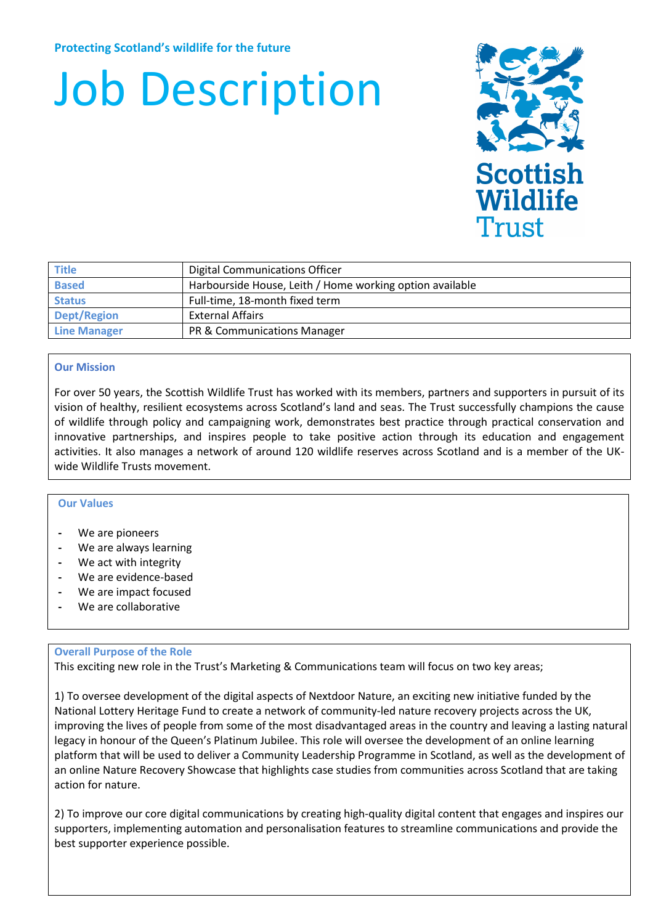# Job Description



| <b>Title</b>        | <b>Digital Communications Officer</b>                    |
|---------------------|----------------------------------------------------------|
| <b>Based</b>        | Harbourside House, Leith / Home working option available |
| <b>Status</b>       | Full-time, 18-month fixed term                           |
| <b>Dept/Region</b>  | <b>External Affairs</b>                                  |
| <b>Line Manager</b> | PR & Communications Manager                              |

# **Our Mission**

For over 50 years, the Scottish Wildlife Trust has worked with its members, partners and supporters in pursuit of its vision of healthy, resilient ecosystems across Scotland's land and seas. The Trust successfully champions the cause of wildlife through policy and campaigning work, demonstrates best practice through practical conservation and innovative partnerships, and inspires people to take positive action through its education and engagement activities. It also manages a network of around 120 wildlife reserves across Scotland and is a member of the UKwide Wildlife Trusts movement.

#### **Our Values**

- **-** We are pioneers
- **-** We are always learning
- **-** We act with integrity
- **-** We are evidence-based
- **-** We are impact focused
- **-** We are collaborative

# **Overall Purpose of the Role**

This exciting new role in the Trust's Marketing & Communications team will focus on two key areas;

1) To oversee development of the digital aspects of Nextdoor Nature, an exciting new initiative funded by the National Lottery Heritage Fund to create a network of community-led nature recovery projects across the UK, improving the lives of people from some of the most disadvantaged areas in the country and leaving a lasting natural legacy in honour of the Queen's Platinum Jubilee. This role will oversee the development of an online learning platform that will be used to deliver a Community Leadership Programme in Scotland, as well as the development of an online Nature Recovery Showcase that highlights case studies from communities across Scotland that are taking action for nature.

2) To improve our core digital communications by creating high-quality digital content that engages and inspires our supporters, implementing automation and personalisation features to streamline communications and provide the best supporter experience possible.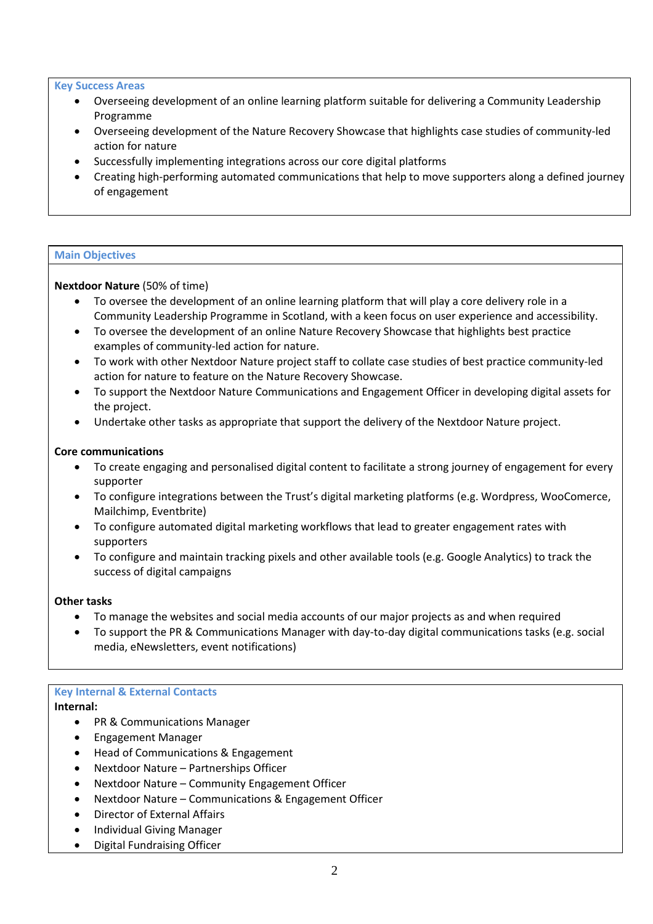#### **Key Success Areas**

- Overseeing development of an online learning platform suitable for delivering a Community Leadership Programme
- Overseeing development of the Nature Recovery Showcase that highlights case studies of community-led action for nature
- Successfully implementing integrations across our core digital platforms
- Creating high-performing automated communications that help to move supporters along a defined journey of engagement

#### **Main Objectives**

# **Nextdoor Nature** (50% of time)

- To oversee the development of an online learning platform that will play a core delivery role in a Community Leadership Programme in Scotland, with a keen focus on user experience and accessibility.
- To oversee the development of an online Nature Recovery Showcase that highlights best practice examples of community-led action for nature.
- To work with other Nextdoor Nature project staff to collate case studies of best practice community-led action for nature to feature on the Nature Recovery Showcase.
- To support the Nextdoor Nature Communications and Engagement Officer in developing digital assets for the project.
- Undertake other tasks as appropriate that support the delivery of the Nextdoor Nature project.

#### **Core communications**

- To create engaging and personalised digital content to facilitate a strong journey of engagement for every supporter
- To configure integrations between the Trust's digital marketing platforms (e.g. Wordpress, WooComerce, Mailchimp, Eventbrite)
- To configure automated digital marketing workflows that lead to greater engagement rates with supporters
- To configure and maintain tracking pixels and other available tools (e.g. Google Analytics) to track the success of digital campaigns

#### **Other tasks**

- To manage the websites and social media accounts of our major projects as and when required
- To support the PR & Communications Manager with day-to-day digital communications tasks (e.g. social media, eNewsletters, event notifications)

# **Key Internal & External Contacts**

# **Internal:**

- PR & Communications Manager
- Engagement Manager
- Head of Communications & Engagement
- Nextdoor Nature Partnerships Officer
- Nextdoor Nature Community Engagement Officer
- Nextdoor Nature Communications & Engagement Officer
- Director of External Affairs
- Individual Giving Manager
- Digital Fundraising Officer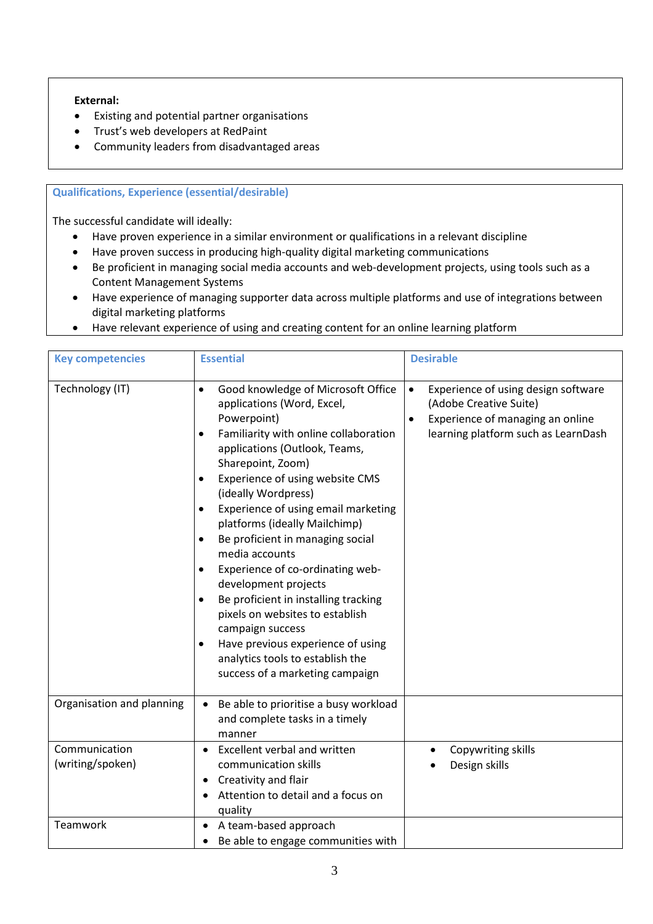# **External:**

- Existing and potential partner organisations
- Trust's web developers at RedPaint
- Community leaders from disadvantaged areas

# **Qualifications, Experience (essential/desirable)**

The successful candidate will ideally:

- Have proven experience in a similar environment or qualifications in a relevant discipline
- Have proven success in producing high-quality digital marketing communications
- Be proficient in managing social media accounts and web-development projects, using tools such as a Content Management Systems
- Have experience of managing supporter data across multiple platforms and use of integrations between digital marketing platforms
- Have relevant experience of using and creating content for an online learning platform

| <b>Key competencies</b>           | <b>Essential</b>                                                                                                                                                                                                                                                                                                                                                                                                                                                                                                                                                                                                                                                                                                                         | <b>Desirable</b>                                                                                                                                                   |  |
|-----------------------------------|------------------------------------------------------------------------------------------------------------------------------------------------------------------------------------------------------------------------------------------------------------------------------------------------------------------------------------------------------------------------------------------------------------------------------------------------------------------------------------------------------------------------------------------------------------------------------------------------------------------------------------------------------------------------------------------------------------------------------------------|--------------------------------------------------------------------------------------------------------------------------------------------------------------------|--|
| Technology (IT)                   | Good knowledge of Microsoft Office<br>$\bullet$<br>applications (Word, Excel,<br>Powerpoint)<br>Familiarity with online collaboration<br>$\bullet$<br>applications (Outlook, Teams,<br>Sharepoint, Zoom)<br>Experience of using website CMS<br>$\bullet$<br>(ideally Wordpress)<br>Experience of using email marketing<br>$\bullet$<br>platforms (ideally Mailchimp)<br>Be proficient in managing social<br>$\bullet$<br>media accounts<br>Experience of co-ordinating web-<br>development projects<br>Be proficient in installing tracking<br>$\bullet$<br>pixels on websites to establish<br>campaign success<br>Have previous experience of using<br>$\bullet$<br>analytics tools to establish the<br>success of a marketing campaign | Experience of using design software<br>$\bullet$<br>(Adobe Creative Suite)<br>Experience of managing an online<br>$\bullet$<br>learning platform such as LearnDash |  |
| Organisation and planning         | Be able to prioritise a busy workload<br>$\bullet$<br>and complete tasks in a timely<br>manner                                                                                                                                                                                                                                                                                                                                                                                                                                                                                                                                                                                                                                           |                                                                                                                                                                    |  |
| Communication<br>(writing/spoken) | Excellent verbal and written<br>communication skills<br>Creativity and flair<br>٠<br>Attention to detail and a focus on<br>quality                                                                                                                                                                                                                                                                                                                                                                                                                                                                                                                                                                                                       | Copywriting skills<br>Design skills                                                                                                                                |  |
| Teamwork                          | A team-based approach<br>٠<br>Be able to engage communities with<br>$\bullet$                                                                                                                                                                                                                                                                                                                                                                                                                                                                                                                                                                                                                                                            |                                                                                                                                                                    |  |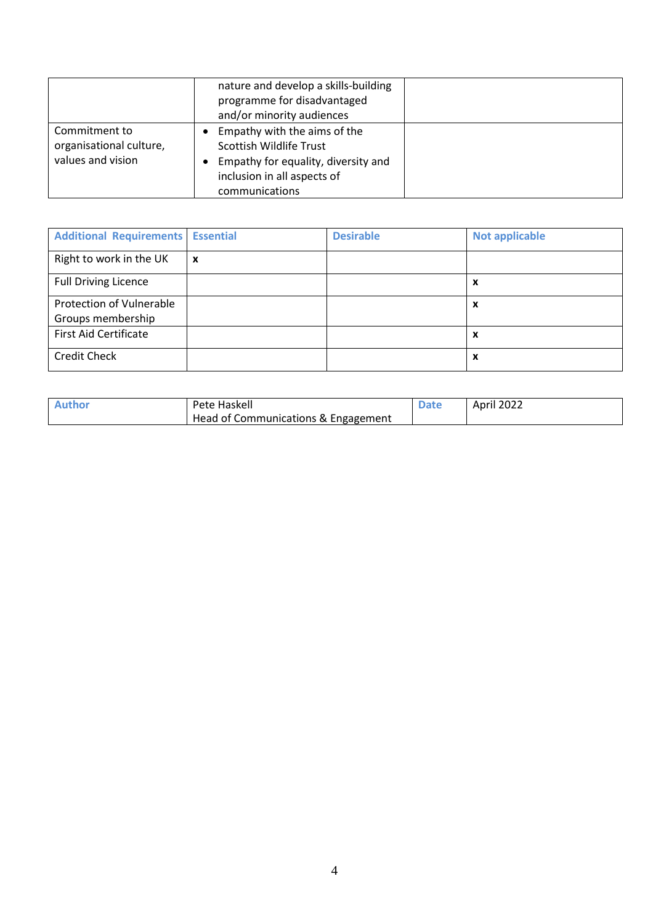|                                                               | nature and develop a skills-building<br>programme for disadvantaged<br>and/or minority audiences                                                |  |
|---------------------------------------------------------------|-------------------------------------------------------------------------------------------------------------------------------------------------|--|
| Commitment to<br>organisational culture,<br>values and vision | Empathy with the aims of the<br>Scottish Wildlife Trust<br>Empathy for equality, diversity and<br>inclusion in all aspects of<br>communications |  |

| <b>Additional Requirements</b> | <b>Essential</b>          | <b>Desirable</b> | <b>Not applicable</b> |
|--------------------------------|---------------------------|------------------|-----------------------|
| Right to work in the UK        | $\boldsymbol{\mathsf{x}}$ |                  |                       |
| <b>Full Driving Licence</b>    |                           |                  | X                     |
| Protection of Vulnerable       |                           |                  | X                     |
| Groups membership              |                           |                  |                       |
| <b>First Aid Certificate</b>   |                           |                  | X                     |
| <b>Credit Check</b>            |                           |                  | X                     |

| <b>Author</b> | Pete Haskell                        | April 2022 |
|---------------|-------------------------------------|------------|
|               | Head of Communications & Engagement |            |